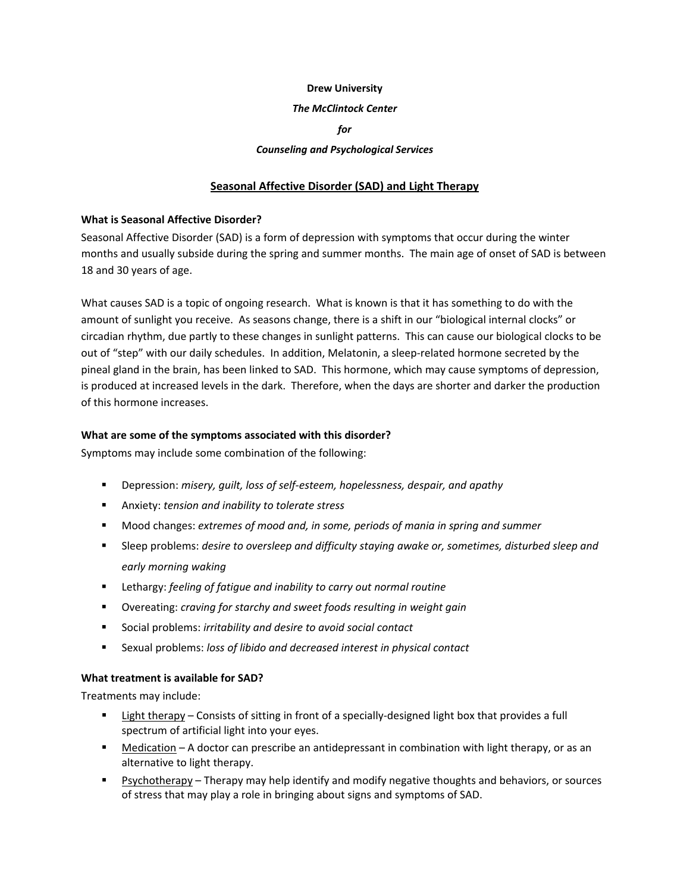#### **Drew University**

#### *The McClintock Center*

# *for*

#### *Counseling and Psychological Services*

## **Seasonal Affective Disorder (SAD) and Light Therapy**

#### **What is Seasonal Affective Disorder?**

Seasonal Affective Disorder (SAD) is a form of depression with symptoms that occur during the winter months and usually subside during the spring and summer months. The main age of onset of SAD is between 18 and 30 years of age.

What causes SAD is a topic of ongoing research. What is known is that it has something to do with the amount of sunlight you receive. As seasons change, there is a shift in our "biological internal clocks" or circadian rhythm, due partly to these changes in sunlight patterns. This can cause our biological clocks to be out of "step" with our daily schedules. In addition, Melatonin, a sleep-related hormone secreted by the pineal gland in the brain, has been linked to SAD. This hormone, which may cause symptoms of depression, is produced at increased levels in the dark. Therefore, when the days are shorter and darker the production of this hormone increases.

#### **What are some of the symptoms associated with this disorder?**

Symptoms may include some combination of the following:

- Depression: *misery, guilt, loss of self‐esteem, hopelessness, despair, and apathy*
- Anxiety: *tension and inability to tolerate stress*
- Mood changes: *extremes of mood and, in some, periods of mania in spring and summer*
- Sleep problems: *desire to oversleep and difficulty staying awake or, sometimes, disturbed sleep and early morning waking*
- Lethargy: *feeling of fatigue and inability to carry out normal routine*
- Overeating: *craving for starchy and sweet foods resulting in weight gain*
- Social problems: *irritability and desire to avoid social contact*
- Sexual problems: *loss of libido and decreased interest in physical contact*

## **What treatment is available for SAD?**

Treatments may include:

- Light therapy Consists of sitting in front of a specially-designed light box that provides a full spectrum of artificial light into your eyes.
- **Medication** A doctor can prescribe an antidepressant in combination with light therapy, or as an alternative to light therapy.
- Psychotherapy Therapy may help identify and modify negative thoughts and behaviors, or sources of stress that may play a role in bringing about signs and symptoms of SAD.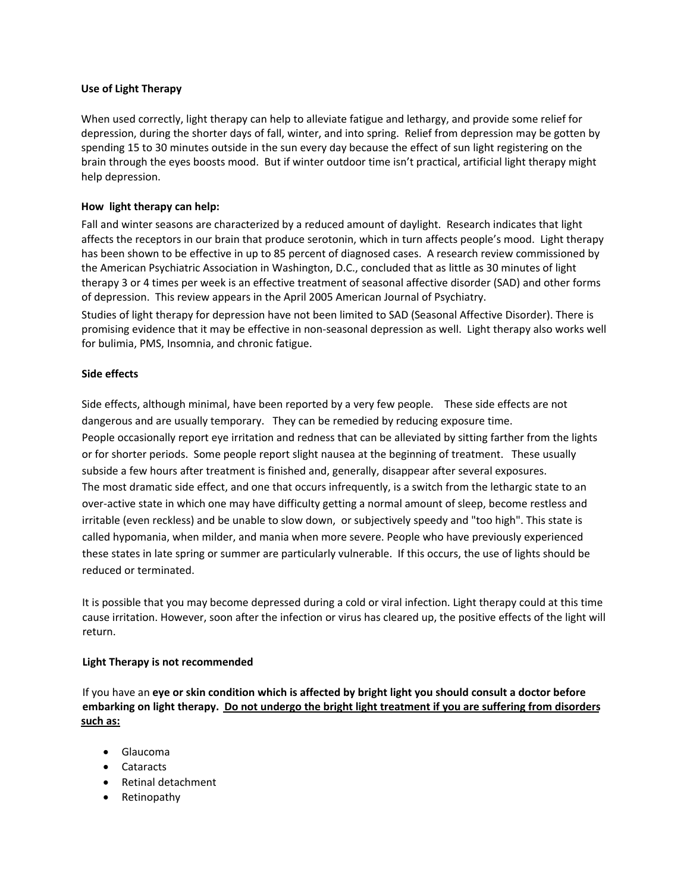## **Use of Light Therapy**

When used correctly, light therapy can help to alleviate fatigue and lethargy, and provide some relief for depression, during the shorter days of fall, winter, and into spring. Relief from depression may be gotten by spending 15 to 30 minutes outside in the sun every day because the effect of sun light registering on the brain through the eyes boosts mood. But if winter outdoor time isn't practical, artificial light therapy might help depression.

## **How light therapy can help:**

Fall and winter seasons are characterized by a reduced amount of daylight. Research indicates that light affects the receptors in our brain that produce serotonin, which in turn affects people's mood. Light therapy has been shown to be effective in up to 85 percent of diagnosed cases. A research review commissioned by the American Psychiatric Association in Washington, D.C., concluded that as little as 30 minutes of light therapy 3 or 4 times per week is an effective treatment of seasonal affective disorder (SAD) and other forms of depression. This review appears in the April 2005 American Journal of Psychiatry.

Studies of light therapy for depression have not been limited to SAD (Seasonal Affective Disorder). There is promising evidence that it may be effective in non‐seasonal depression as well. Light therapy also works well for bulimia, PMS, Insomnia, and chronic fatigue.

## **Side effects**

Side effects, although minimal, have been reported by a very few people. These side effects are not dangerous and are usually temporary. They can be remedied by reducing exposure time. People occasionally report eye irritation and redness that can be alleviated by sitting farther from the lights or for shorter periods. Some people report slight nausea at the beginning of treatment. These usually subside a few hours after treatment is finished and, generally, disappear after several exposures. The most dramatic side effect, and one that occurs infrequently, is a switch from the lethargic state to an over-active state in which one may have difficulty getting a normal amount of sleep, become restless and irritable (even reckless) and be unable to slow down, or subjectively speedy and "too high". This state is called hypomania, when milder, and mania when more severe. People who have previously experienced these states in late spring or summer are particularly vulnerable. If this occurs, the use of lights should be reduced or terminated.

It is possible that you may become depressed during a cold or viral infection. Light therapy could at this time cause irritation. However, soon after the infection or virus has cleared up, the positive effects of the light will return.

#### **Light Therapy is not recommended**

If you have an **eye or skin condition which is affected by bright light you should consult a doctor before** embarking on light therapy. Do not undergo the bright light treatment if you are suffering from disorders **such as:**

- Glaucoma
- Cataracts
- Retinal detachment
- Retinopathy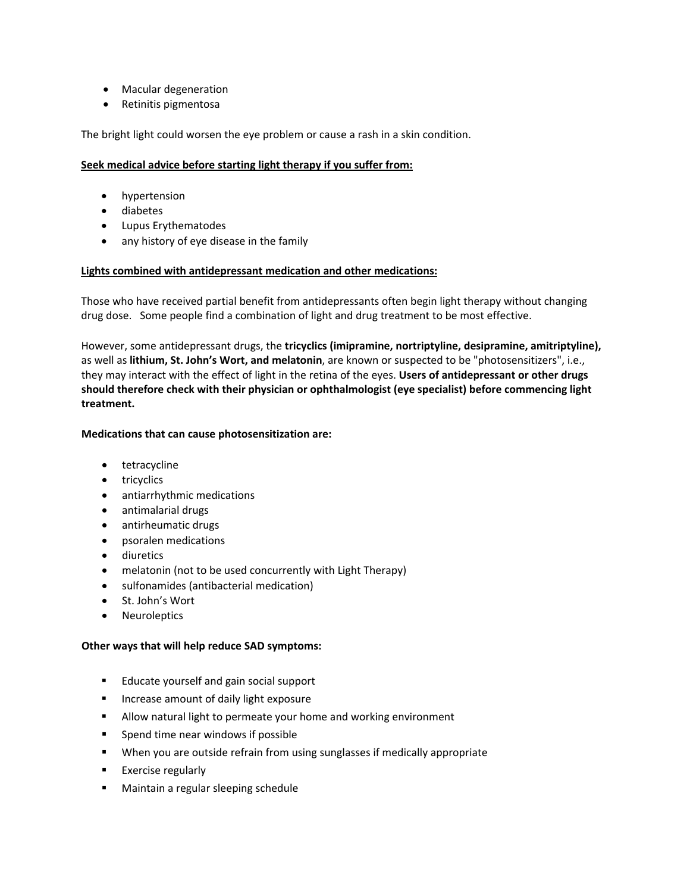- Macular degeneration
- Retinitis pigmentosa

The bright light could worsen the eye problem or cause a rash in a skin condition.

# **Seek medical advice before starting light therapy if you suffer from:**

- hypertension
- diabetes
- Lupus Erythematodes
- any history of eye disease in the family

## **Lights combined with antidepressant medication and other medications:**

Those who have received partial benefit from antidepressants often begin light therapy without changing drug dose. Some people find a combination of light and drug treatment to be most effective.

However, some antidepressant drugs, the **tricyclics (imipramine, nortriptyline, desipramine, amitriptyline),** as well as **lithium, St. John's Wort, and melatonin**, are known or suspected to be "photosensitizers", i.e., they may interact with the effect of light in the retina of the eyes. **Users of antidepressant or other drugs should therefore check with their physician or ophthalmologist (eye specialist) before commencing light treatment.** 

# **Medications that can cause photosensitization are:**

- tetracycline
- tricyclics
- antiarrhythmic medications
- antimalarial drugs
- antirheumatic drugs
- psoralen medications
- diuretics
- melatonin (not to be used concurrently with Light Therapy)
- sulfonamides (antibacterial medication)
- St. John's Wort
- Neuroleptics

# **Other ways that will help reduce SAD symptoms:**

- **Educate yourself and gain social support**
- **If** Increase amount of daily light exposure
- Allow natural light to permeate your home and working environment
- **Spend time near windows if possible**
- When you are outside refrain from using sunglasses if medically appropriate
- **Exercise regularly**
- **Maintain a regular sleeping schedule**